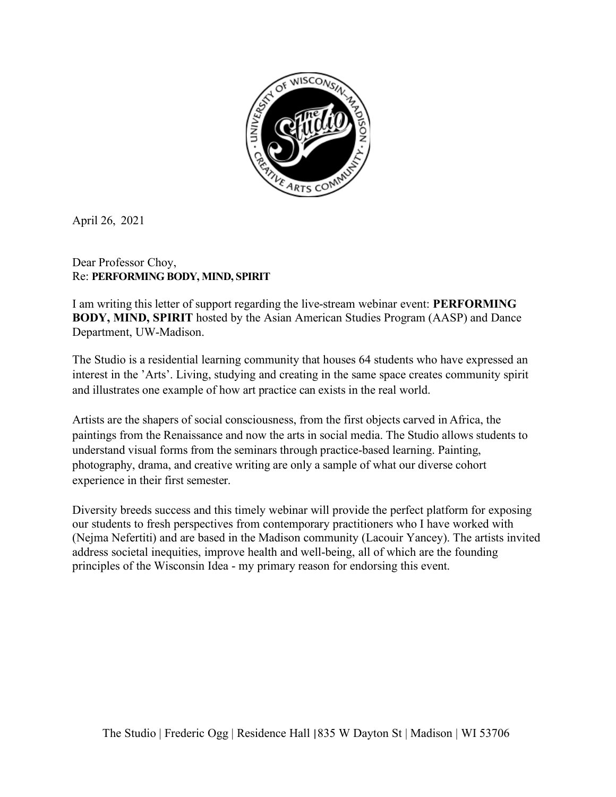

April 26, 2021

## Dear Professor Choy, Re: **PERFORMING BODY, MIND, SPIRIT**

I am writing this letter of support regarding the live-stream webinar event: **PERFORMING BODY, MIND, SPIRIT** hosted by the Asian American Studies Program (AASP) and Dance Department, UW-Madison.

The Studio is a residential learning community that houses 64 students who have expressed an interest in the 'Arts'. Living, studying and creating in the same space creates community spirit and illustrates one example of how art practice can exists in the real world.

Artists are the shapers of social consciousness, from the first objects carved in Africa, the paintings from the Renaissance and now the arts in social media. The Studio allows students to understand visual forms from the seminars through practice-based learning. Painting, photography, drama, and creative writing are only a sample of what our diverse cohort experience in their first semester.

Diversity breeds success and this timely webinar will provide the perfect platform for exposing our students to fresh perspectives from contemporary practitioners who I have worked with (Nejma Nefertiti) and are based in the Madison community (Lacouir Yancey). The artists invited address societal inequities, improve health and well-being, all of which are the founding principles of the Wisconsin Idea - my primary reason for endorsing this event.